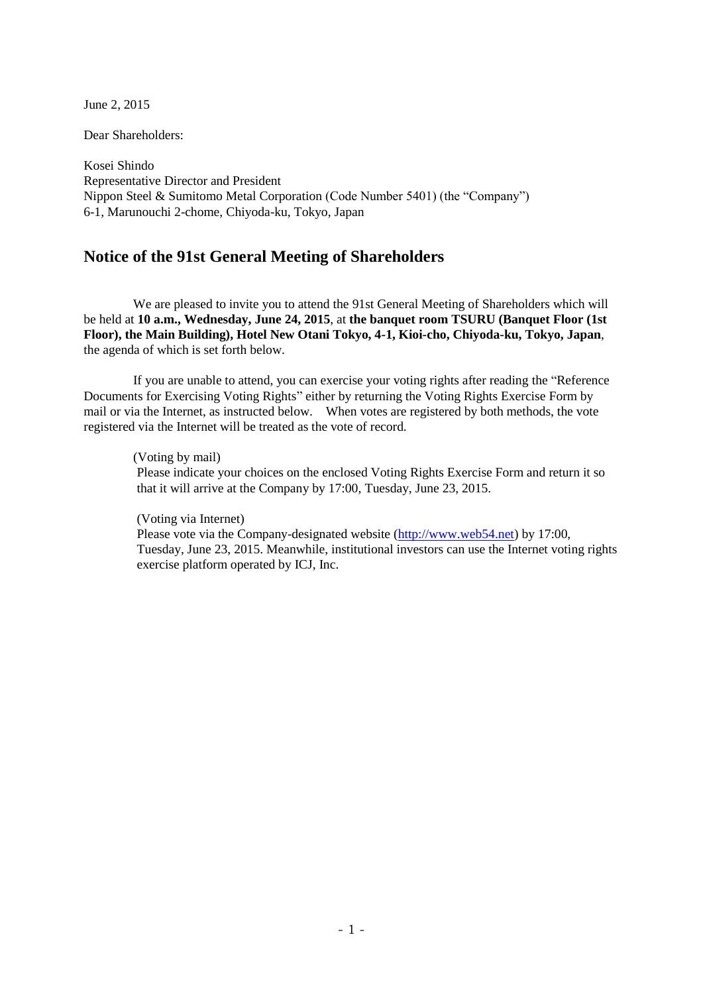June 2, 2015

Dear Shareholders:

Kosei Shindo Representative Director and President Nippon Steel & Sumitomo Metal Corporation (Code Number 5401) (the "Company") 6-1, Marunouchi 2-chome, Chiyoda-ku, Tokyo, Japan

# **Notice of the 91st General Meeting of Shareholders**

We are pleased to invite you to attend the 91st General Meeting of Shareholders which will be held at **10 a.m., Wednesday, June 24, 2015**, at **the banquet room TSURU (Banquet Floor (1st Floor), the Main Building), Hotel New Otani Tokyo, 4-1, Kioi-cho, Chiyoda-ku, Tokyo, Japan**, the agenda of which is set forth below.

If you are unable to attend, you can exercise your voting rights after reading the "Reference Documents for Exercising Voting Rights" either by returning the Voting Rights Exercise Form by mail or via the Internet, as instructed below. When votes are registered by both methods, the vote registered via the Internet will be treated as the vote of record.

(Voting by mail) Please indicate your choices on the enclosed Voting Rights Exercise Form and return it so that it will arrive at the Company by 17:00, Tuesday, June 23, 2015.

(Voting via Internet) Please vote via the Company-designated website [\(http://www.web54.net\)](http://www.web54.net/) by 17:00, Tuesday, June 23, 2015. Meanwhile, institutional investors can use the Internet voting rights exercise platform operated by ICJ, Inc.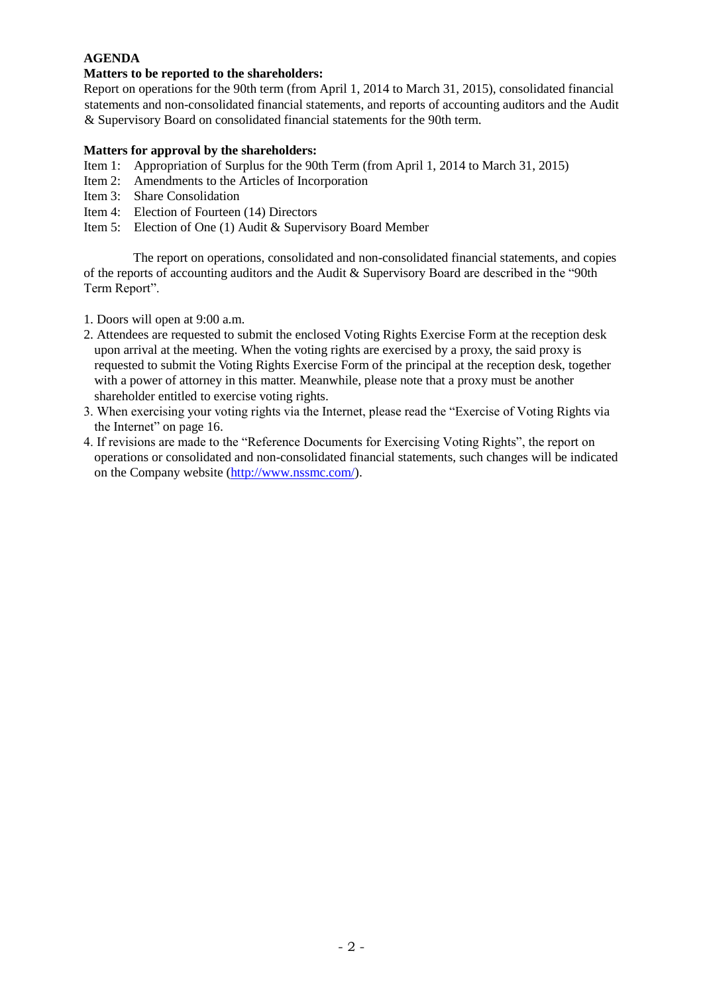# **AGENDA**

# **Matters to be reported to the shareholders:**

Report on operations for the 90th term (from April 1, 2014 to March 31, 2015), consolidated financial statements and non-consolidated financial statements, and reports of accounting auditors and the Audit & Supervisory Board on consolidated financial statements for the 90th term.

# **Matters for approval by the shareholders:**

- Item 1: Appropriation of Surplus for the 90th Term (from April 1, 2014 to March 31, 2015)
- Item 2: Amendments to the Articles of Incorporation
- Item 3: Share Consolidation
- Item 4: Election of Fourteen (14) Directors
- Item 5: Election of One (1) Audit & Supervisory Board Member

The report on operations, consolidated and non-consolidated financial statements, and copies of the reports of accounting auditors and the Audit & Supervisory Board are described in the "90th Term Report".

- 1. Doors will open at 9:00 a.m.
- 2. Attendees are requested to submit the enclosed Voting Rights Exercise Form at the reception desk upon arrival at the meeting. When the voting rights are exercised by a proxy, the said proxy is requested to submit the Voting Rights Exercise Form of the principal at the reception desk, together with a power of attorney in this matter. Meanwhile, please note that a proxy must be another shareholder entitled to exercise voting rights.
- 3. When exercising your voting rights via the Internet, please read the "Exercise of Voting Rights via the Internet" on page 16.
- 4. If revisions are made to the "Reference Documents for Exercising Voting Rights", the report on operations or consolidated and non-consolidated financial statements, such changes will be indicated on the Company website [\(http://www.nssmc.com/\)](http://www.nssmc.com/).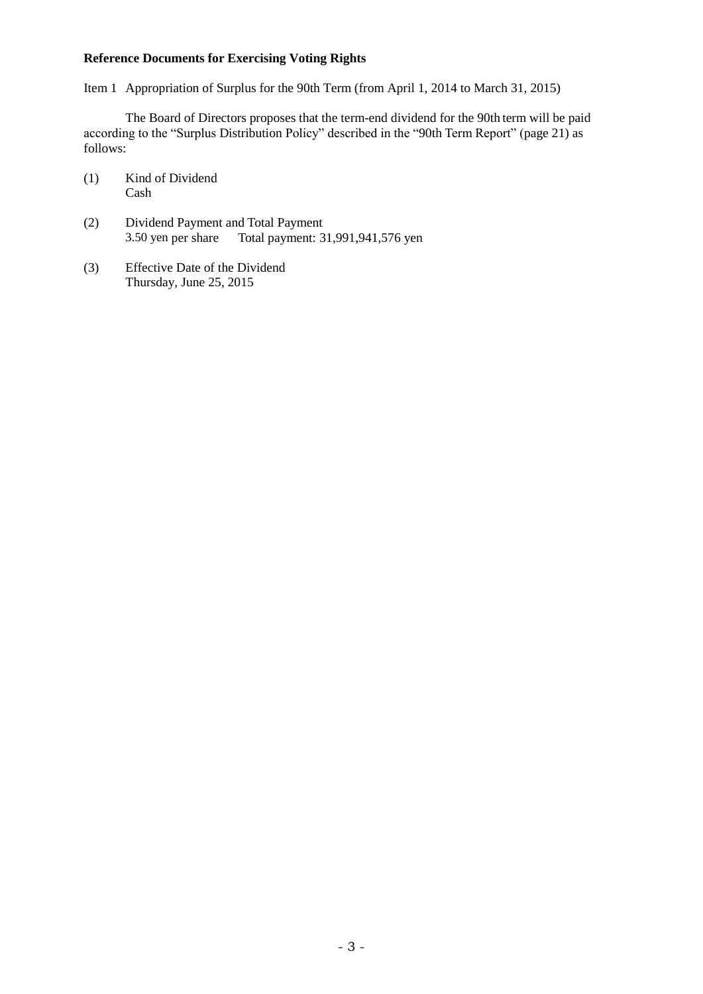# **Reference Documents for Exercising Voting Rights**

Item 1 Appropriation of Surplus for the 90th Term (from April 1, 2014 to March 31, 2015)

The Board of Directors proposes that the term-end dividend for the 90th term will be paid according to the "Surplus Distribution Policy" described in the "90th Term Report" (page 21) as follows:

- (1) Kind of Dividend Cash
- (2) Dividend Payment and Total Payment 3.50 yen per share Total payment: 31,991,941,576 yen
- (3) Effective Date of the Dividend Thursday, June 25, 2015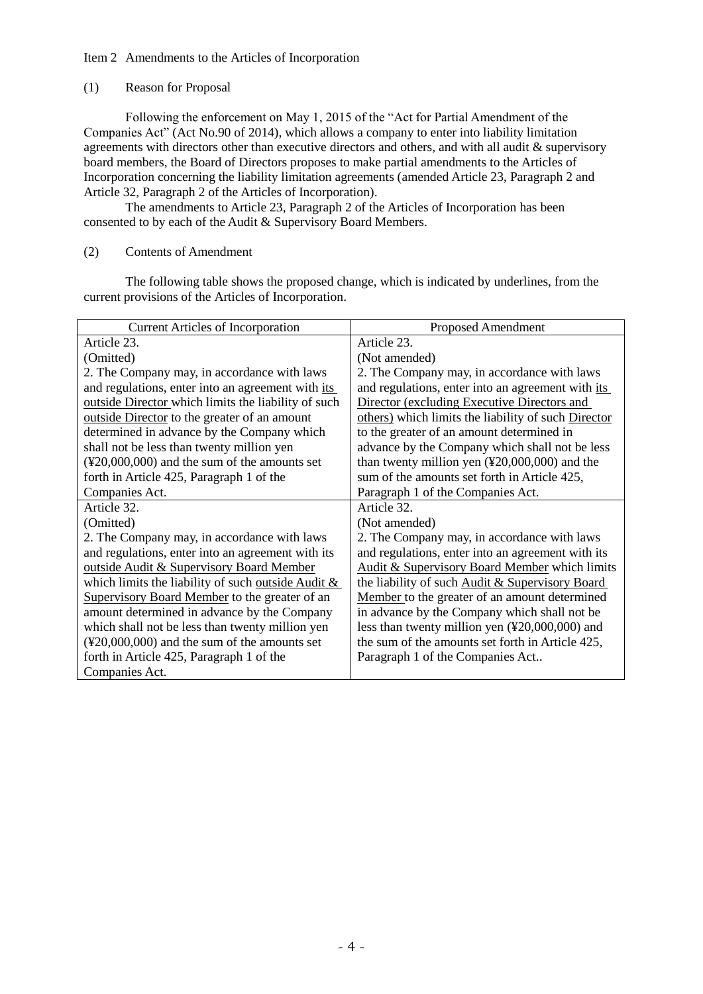## Item 2 Amendments to the Articles of Incorporation

## (1) Reason for Proposal

Following the enforcement on May 1, 2015 of the "Act for Partial Amendment of the Companies Act" (Act No.90 of 2014), which allows a company to enter into liability limitation agreements with directors other than executive directors and others, and with all audit & supervisory board members, the Board of Directors proposes to make partial amendments to the Articles of Incorporation concerning the liability limitation agreements (amended Article 23, Paragraph 2 and Article 32, Paragraph 2 of the Articles of Incorporation).

The amendments to Article 23, Paragraph 2 of the Articles of Incorporation has been consented to by each of the Audit & Supervisory Board Members.

# (2) Contents of Amendment

The following table shows the proposed change, which is indicated by underlines, from the current provisions of the Articles of Incorporation.

| <b>Current Articles of Incorporation</b>                               | <b>Proposed Amendment</b>                                        |
|------------------------------------------------------------------------|------------------------------------------------------------------|
| Article 23.                                                            | Article 23.                                                      |
| (Omitted)                                                              | (Not amended)                                                    |
| 2. The Company may, in accordance with laws                            | 2. The Company may, in accordance with laws                      |
| and regulations, enter into an agreement with its                      | and regulations, enter into an agreement with its                |
| outside Director which limits the liability of such                    | Director (excluding Executive Directors and                      |
| outside Director to the greater of an amount                           | others) which limits the liability of such Director              |
| determined in advance by the Company which                             | to the greater of an amount determined in                        |
| shall not be less than twenty million yen                              | advance by the Company which shall not be less                   |
| $(\textcolor{red}{*}20,000,000)$ and the sum of the amounts set        | than twenty million yen $(\text{\texttt{420,000,000}})$ and the  |
| forth in Article 425, Paragraph 1 of the                               | sum of the amounts set forth in Article 425,                     |
| Companies Act.                                                         | Paragraph 1 of the Companies Act.                                |
| Article 32.                                                            | Article 32.                                                      |
| (Omitted)                                                              | (Not amended)                                                    |
| 2. The Company may, in accordance with laws                            | 2. The Company may, in accordance with laws                      |
| and regulations, enter into an agreement with its                      | and regulations, enter into an agreement with its                |
| outside Audit & Supervisory Board Member                               | <b>Audit &amp; Supervisory Board Member which limits</b>         |
| which limits the liability of such outside Audit &                     | the liability of such Audit & Supervisory Board                  |
| Supervisory Board Member to the greater of an                          | Member to the greater of an amount determined                    |
| amount determined in advance by the Company                            | in advance by the Company which shall not be                     |
| which shall not be less than twenty million yen                        | less than twenty million yen $(\text{\texttt{Y20,000,000}})$ and |
| $(\textcolor{red}{\text{420,000,000}})$ and the sum of the amounts set | the sum of the amounts set forth in Article 425,                 |
| forth in Article 425, Paragraph 1 of the                               | Paragraph 1 of the Companies Act                                 |
| Companies Act.                                                         |                                                                  |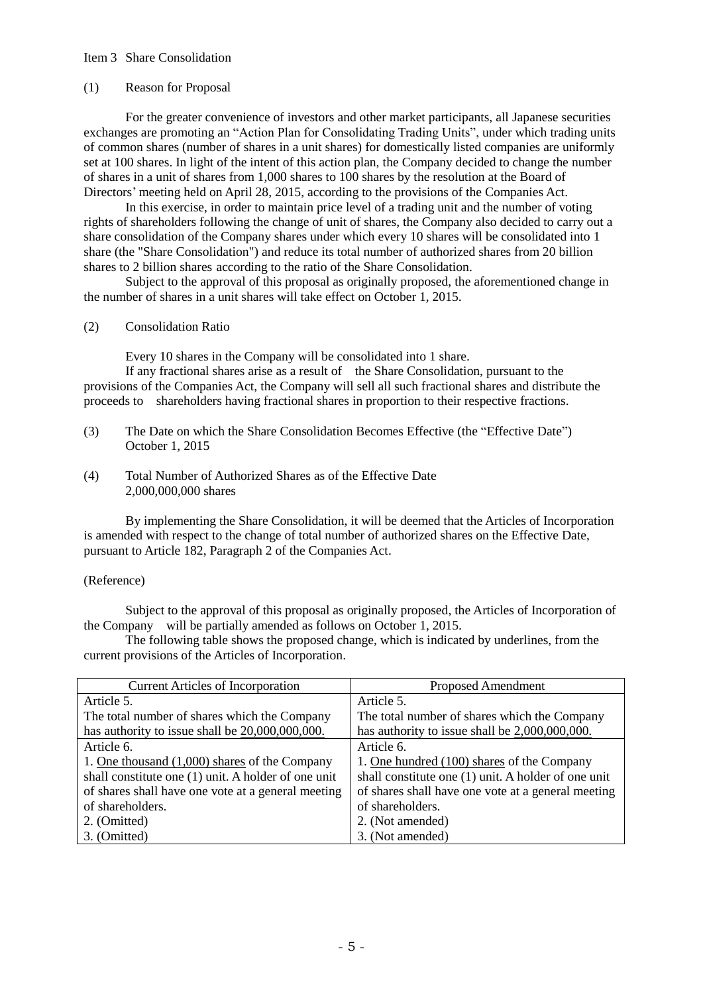#### Item 3 Share Consolidation

#### (1) Reason for Proposal

For the greater convenience of investors and other market participants, all Japanese securities exchanges are promoting an "Action Plan for Consolidating Trading Units", under which trading units of common shares (number of shares in a unit shares) for domestically listed companies are uniformly set at 100 shares. In light of the intent of this action plan, the Company decided to change the number of shares in a unit of shares from 1,000 shares to 100 shares by the resolution at the Board of Directors' meeting held on April 28, 2015, according to the provisions of the Companies Act.

In this exercise, in order to maintain price level of a trading unit and the number of voting rights of shareholders following the change of unit of shares, the Company also decided to carry out a share consolidation of the Company shares under which every 10 shares will be consolidated into 1 share (the "Share Consolidation") and reduce its total number of authorized shares from 20 billion shares to 2 billion shares according to the ratio of the Share Consolidation.

Subject to the approval of this proposal as originally proposed, the aforementioned change in the number of shares in a unit shares will take effect on October 1, 2015.

#### (2) Consolidation Ratio

Every 10 shares in the Company will be consolidated into 1 share.

If any fractional shares arise as a result of the Share Consolidation, pursuant to the provisions of the Companies Act, the Company will sell all such fractional shares and distribute the proceeds to shareholders having fractional shares in proportion to their respective fractions.

- (3) The Date on which the Share Consolidation Becomes Effective (the "Effective Date") October 1, 2015
- (4) Total Number of Authorized Shares as of the Effective Date 2,000,000,000 shares

By implementing the Share Consolidation, it will be deemed that the Articles of Incorporation is amended with respect to the change of total number of authorized shares on the Effective Date, pursuant to Article 182, Paragraph 2 of the Companies Act.

#### (Reference)

Subject to the approval of this proposal as originally proposed, the Articles of Incorporation of the Company will be partially amended as follows on October 1, 2015.

The following table shows the proposed change, which is indicated by underlines, from the current provisions of the Articles of Incorporation.

| <b>Current Articles of Incorporation</b>            | Proposed Amendment                                  |
|-----------------------------------------------------|-----------------------------------------------------|
| Article 5.                                          | Article 5.                                          |
| The total number of shares which the Company        | The total number of shares which the Company        |
| has authority to issue shall be $20,000,000,000$ .  | has authority to issue shall be 2,000,000,000.      |
| Article 6.                                          | Article 6.                                          |
| 1. One thousand (1,000) shares of the Company       | 1. One hundred (100) shares of the Company          |
| shall constitute one (1) unit. A holder of one unit | shall constitute one (1) unit. A holder of one unit |
| of shares shall have one vote at a general meeting  | of shares shall have one vote at a general meeting  |
| of shareholders.                                    | of shareholders.                                    |
| 2. (Omitted)                                        | 2. (Not amended)                                    |
| 3. (Omitted)                                        | 3. (Not amended)                                    |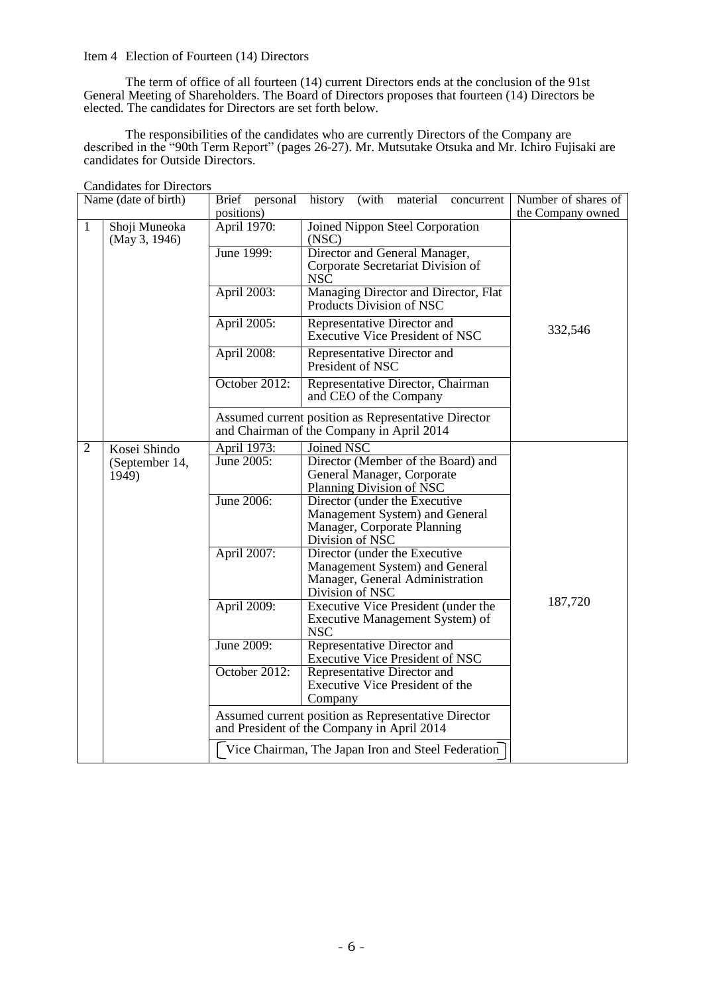#### Item 4 Election of Fourteen (14) Directors

The term of office of all fourteen (14) current Directors ends at the conclusion of the 91st General Meeting of Shareholders. The Board of Directors proposes that fourteen (14) Directors be elected. The candidates for Directors are set forth below.

The responsibilities of the candidates who are currently Directors of the Company are described in the "90th Term Report" (pages 26-27). Mr. Mutsutake Otsuka and Mr. Ichiro Fujisaki are candidates for Outside Directors.

|                | Name (date of birth)           |                           | Brief personal history (with material<br>concurrent                                               | Number of shares of |
|----------------|--------------------------------|---------------------------|---------------------------------------------------------------------------------------------------|---------------------|
|                |                                | positions)                |                                                                                                   | the Company owned   |
| 1              | Shoji Muneoka<br>(May 3, 1946) | April 1970:<br>June 1999: | <b>Joined Nippon Steel Corporation</b><br>(NSC)<br>Director and General Manager,                  |                     |
|                |                                |                           | Corporate Secretariat Division of<br>NSC                                                          |                     |
|                |                                | April 2003:               | Managing Director and Director, Flat<br>Products Division of NSC                                  |                     |
|                |                                | April 2005:               | Representative Director and<br><b>Executive Vice President of NSC</b>                             | 332,546             |
|                |                                | April 2008:               | Representative Director and<br>President of NSC                                                   |                     |
|                |                                | October 2012:             | Representative Director, Chairman<br>and CEO of the Company                                       |                     |
|                |                                |                           | Assumed current position as Representative Director<br>and Chairman of the Company in April 2014  |                     |
| $\overline{2}$ | Kosei Shindo                   | April 1973:               | <b>Joined NSC</b>                                                                                 |                     |
|                | (September 14,                 | June 2005:                | Director (Member of the Board) and                                                                |                     |
|                | 1949)                          |                           | General Manager, Corporate                                                                        |                     |
|                |                                |                           | Planning Division of NSC                                                                          |                     |
|                |                                | June 2006:                | Director (under the Executive                                                                     |                     |
|                |                                |                           | Management System) and General<br>Manager, Corporate Planning                                     |                     |
|                |                                |                           | Division of NSC                                                                                   |                     |
|                |                                | April 2007:               | Director (under the Executive                                                                     |                     |
|                |                                |                           | Management System) and General                                                                    |                     |
|                |                                |                           | Manager, General Administration                                                                   |                     |
|                |                                |                           | Division of NSC                                                                                   | 187,720             |
|                |                                | April 2009:               | Executive Vice President (under the<br>Executive Management System) of                            |                     |
|                |                                |                           | <b>NSC</b>                                                                                        |                     |
|                |                                | June 2009:                | Representative Director and                                                                       |                     |
|                |                                |                           | <b>Executive Vice President of NSC</b>                                                            |                     |
|                |                                | October 2012:             | Representative Director and                                                                       |                     |
|                |                                |                           | Executive Vice President of the                                                                   |                     |
|                |                                |                           | Company                                                                                           |                     |
|                |                                |                           | Assumed current position as Representative Director<br>and President of the Company in April 2014 |                     |
|                |                                |                           | Vice Chairman, The Japan Iron and Steel Federation                                                |                     |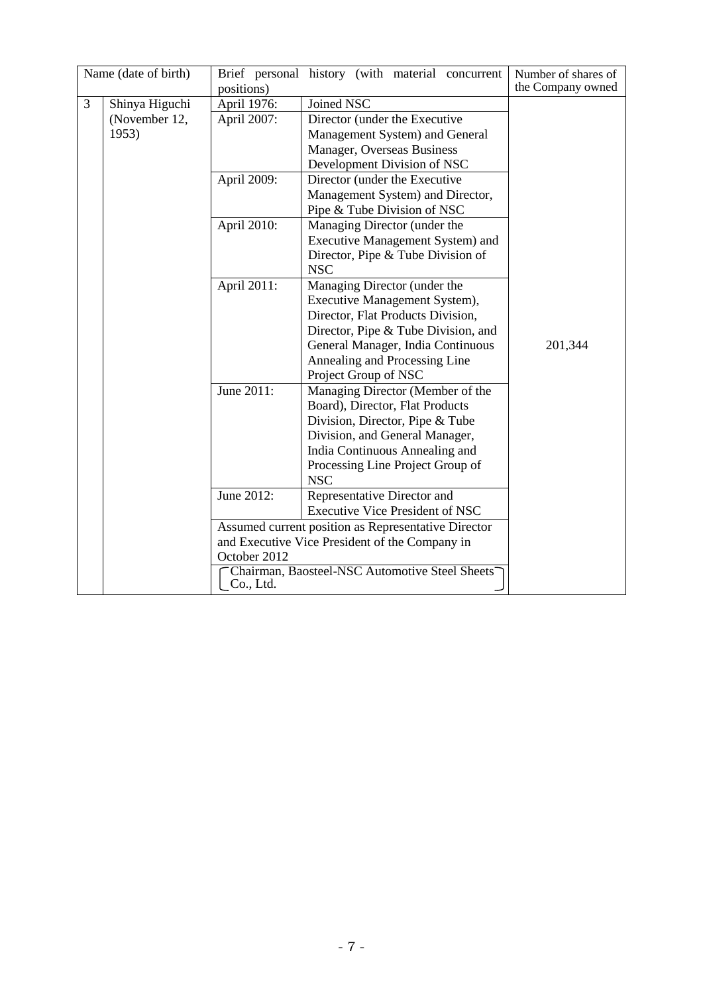|   | Name (date of birth) |              | Brief personal history (with material concurrent    | Number of shares of |
|---|----------------------|--------------|-----------------------------------------------------|---------------------|
|   |                      | positions)   |                                                     | the Company owned   |
| 3 | Shinya Higuchi       | April 1976:  | Joined NSC                                          |                     |
|   | (November 12,        | April 2007:  | Director (under the Executive                       |                     |
|   | 1953)                |              | Management System) and General                      |                     |
|   |                      |              | Manager, Overseas Business                          |                     |
|   |                      |              | Development Division of NSC                         |                     |
|   |                      | April 2009:  | Director (under the Executive                       |                     |
|   |                      |              | Management System) and Director,                    |                     |
|   |                      |              | Pipe & Tube Division of NSC                         |                     |
|   |                      | April 2010:  | Managing Director (under the                        |                     |
|   |                      |              | Executive Management System) and                    |                     |
|   |                      |              | Director, Pipe & Tube Division of                   |                     |
|   |                      |              | <b>NSC</b>                                          |                     |
|   |                      | April 2011:  | Managing Director (under the                        |                     |
|   |                      |              | Executive Management System),                       |                     |
|   |                      |              | Director, Flat Products Division,                   |                     |
|   |                      |              | Director, Pipe & Tube Division, and                 |                     |
|   |                      |              | General Manager, India Continuous                   | 201,344             |
|   |                      |              | Annealing and Processing Line                       |                     |
|   |                      |              | Project Group of NSC                                |                     |
|   |                      | June 2011:   | Managing Director (Member of the                    |                     |
|   |                      |              | Board), Director, Flat Products                     |                     |
|   |                      |              | Division, Director, Pipe & Tube                     |                     |
|   |                      |              | Division, and General Manager,                      |                     |
|   |                      |              | India Continuous Annealing and                      |                     |
|   |                      |              | Processing Line Project Group of                    |                     |
|   |                      |              | <b>NSC</b>                                          |                     |
|   |                      | June 2012:   | Representative Director and                         |                     |
|   |                      |              | <b>Executive Vice President of NSC</b>              |                     |
|   |                      |              | Assumed current position as Representative Director |                     |
|   |                      |              | and Executive Vice President of the Company in      |                     |
|   |                      | October 2012 |                                                     |                     |
|   |                      | Co., Ltd.    | Chairman, Baosteel-NSC Automotive Steel Sheets      |                     |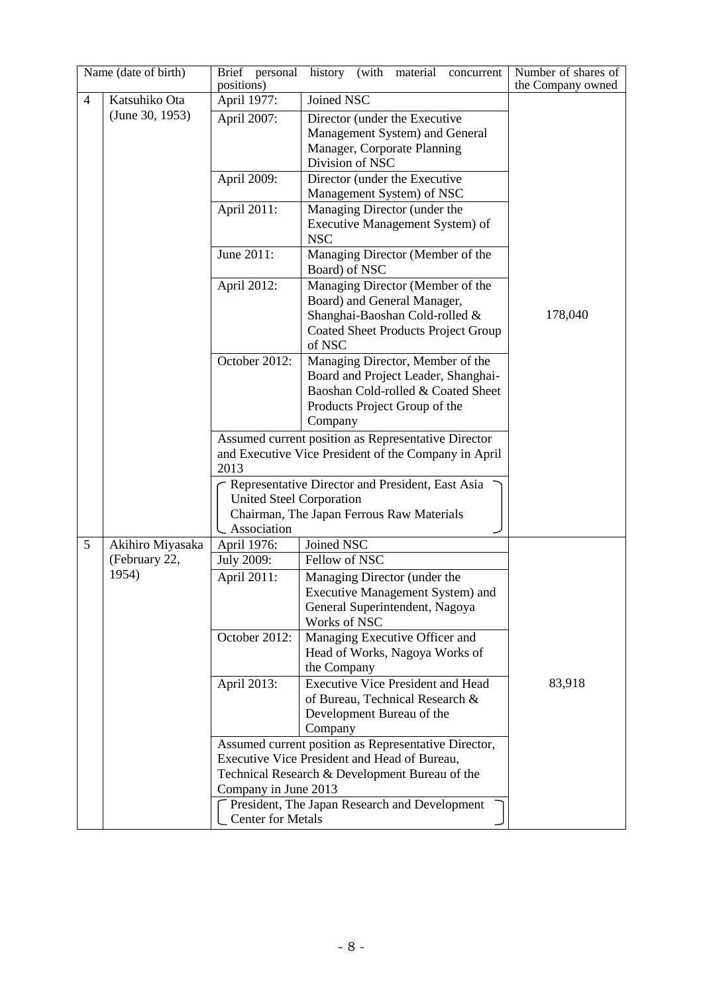|   | Name (date of birth) | Brief personal<br>positions)    | history (with material concurrent                                         | Number of shares of<br>the Company owned |  |
|---|----------------------|---------------------------------|---------------------------------------------------------------------------|------------------------------------------|--|
| 4 | Katsuhiko Ota        | April 1977:                     | Joined NSC                                                                |                                          |  |
|   | (June 30, 1953)      | April 2007:                     | Director (under the Executive                                             |                                          |  |
|   |                      |                                 | Management System) and General                                            |                                          |  |
|   |                      |                                 | Manager, Corporate Planning                                               |                                          |  |
|   |                      |                                 | Division of NSC                                                           |                                          |  |
|   |                      | April 2009:                     | Director (under the Executive                                             |                                          |  |
|   |                      |                                 | Management System) of NSC                                                 |                                          |  |
|   |                      | April 2011:                     | Managing Director (under the                                              |                                          |  |
|   |                      |                                 | Executive Management System) of<br><b>NSC</b>                             |                                          |  |
|   |                      | June 2011:                      | Managing Director (Member of the                                          |                                          |  |
|   |                      |                                 | Board) of NSC                                                             |                                          |  |
|   |                      | April 2012:                     | Managing Director (Member of the                                          |                                          |  |
|   |                      |                                 | Board) and General Manager,                                               |                                          |  |
|   |                      |                                 | Shanghai-Baoshan Cold-rolled &                                            | 178,040                                  |  |
|   |                      |                                 | <b>Coated Sheet Products Project Group</b>                                |                                          |  |
|   |                      |                                 | of NSC                                                                    |                                          |  |
|   |                      | October 2012:                   | Managing Director, Member of the                                          |                                          |  |
|   |                      |                                 | Board and Project Leader, Shanghai-<br>Baoshan Cold-rolled & Coated Sheet |                                          |  |
|   |                      |                                 | Products Project Group of the                                             |                                          |  |
|   |                      |                                 | Company                                                                   |                                          |  |
|   |                      |                                 | Assumed current position as Representative Director                       |                                          |  |
|   |                      |                                 | and Executive Vice President of the Company in April                      |                                          |  |
|   |                      | 2013                            |                                                                           |                                          |  |
|   |                      |                                 | Representative Director and President, East Asia                          |                                          |  |
|   |                      | <b>United Steel Corporation</b> |                                                                           |                                          |  |
|   |                      |                                 | Chairman, The Japan Ferrous Raw Materials                                 |                                          |  |
|   |                      | Association                     |                                                                           |                                          |  |
| 5 | Akihiro Miyasaka     | April 1976:                     | Joined NSC                                                                |                                          |  |
|   | (February 22,        | July 2009:                      | Fellow of NSC                                                             |                                          |  |
|   | 1954)                | April 2011:                     | Managing Director (under the                                              |                                          |  |
|   |                      |                                 | Executive Management System) and                                          |                                          |  |
|   |                      |                                 | General Superintendent, Nagoya<br>Works of NSC                            |                                          |  |
|   |                      | October 2012:                   | Managing Executive Officer and                                            |                                          |  |
|   |                      |                                 | Head of Works, Nagoya Works of                                            |                                          |  |
|   |                      |                                 | the Company                                                               |                                          |  |
|   |                      | April 2013:                     | <b>Executive Vice President and Head</b>                                  | 83,918                                   |  |
|   |                      |                                 | of Bureau, Technical Research &                                           |                                          |  |
|   |                      |                                 | Development Bureau of the                                                 |                                          |  |
|   |                      |                                 | Company                                                                   |                                          |  |
|   |                      |                                 | Assumed current position as Representative Director,                      |                                          |  |
|   |                      |                                 | Executive Vice President and Head of Bureau,                              |                                          |  |
|   |                      |                                 | Technical Research & Development Bureau of the                            |                                          |  |
|   |                      | Company in June 2013            | President, The Japan Research and Development                             |                                          |  |
|   |                      | <b>Center for Metals</b>        |                                                                           |                                          |  |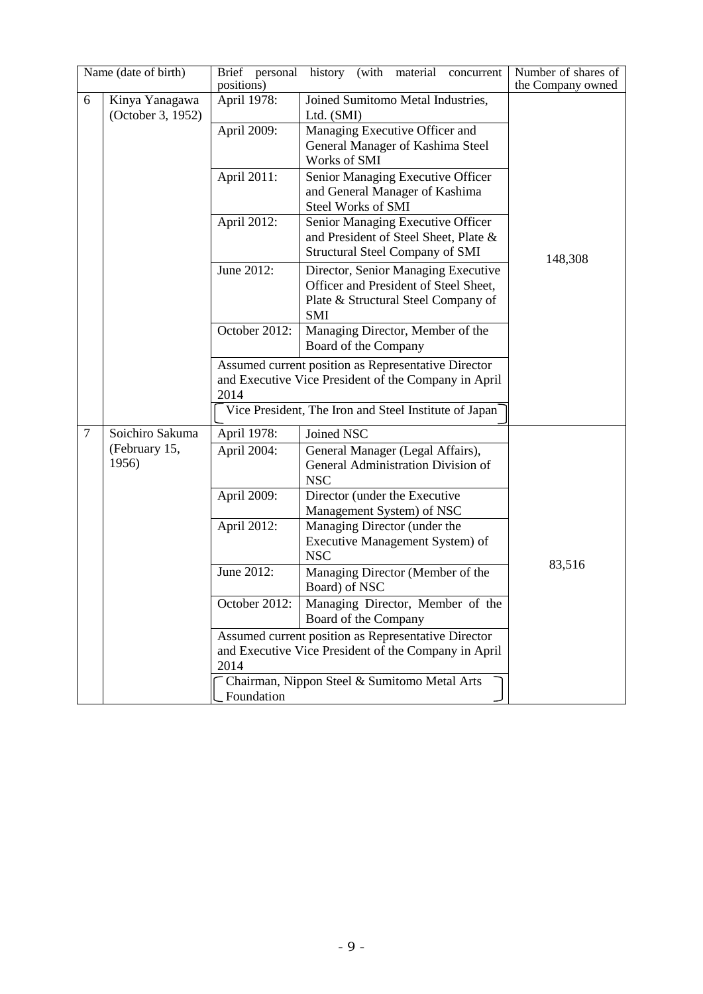|        | Name (date of birth)                | Brief personal<br>positions) | history (with material<br>concurrent                                                                                              | Number of shares of<br>the Company owned |
|--------|-------------------------------------|------------------------------|-----------------------------------------------------------------------------------------------------------------------------------|------------------------------------------|
| 6      | Kinya Yanagawa<br>(October 3, 1952) | April 1978:                  | Joined Sumitomo Metal Industries,<br>Ltd. (SMI)                                                                                   |                                          |
|        |                                     | April 2009:                  | Managing Executive Officer and<br>General Manager of Kashima Steel<br>Works of SMI                                                |                                          |
|        |                                     | April 2011:                  | Senior Managing Executive Officer<br>and General Manager of Kashima<br>Steel Works of SMI                                         |                                          |
|        |                                     | April 2012:                  | Senior Managing Executive Officer<br>and President of Steel Sheet, Plate &<br><b>Structural Steel Company of SMI</b>              | 148,308                                  |
|        |                                     | June 2012:                   | Director, Senior Managing Executive<br>Officer and President of Steel Sheet,<br>Plate & Structural Steel Company of<br><b>SMI</b> |                                          |
|        |                                     | October 2012:                | Managing Director, Member of the<br>Board of the Company                                                                          |                                          |
|        |                                     | 2014                         | Assumed current position as Representative Director<br>and Executive Vice President of the Company in April                       |                                          |
|        |                                     |                              | Vice President, The Iron and Steel Institute of Japan                                                                             |                                          |
| $\tau$ | Soichiro Sakuma                     | April 1978:                  | Joined NSC                                                                                                                        |                                          |
|        | (February 15,<br>1956)              | April 2004:                  | General Manager (Legal Affairs),<br>General Administration Division of<br><b>NSC</b>                                              |                                          |
|        |                                     | April 2009:                  | Director (under the Executive<br>Management System) of NSC                                                                        |                                          |
|        |                                     | April 2012:                  | Managing Director (under the<br>Executive Management System) of<br><b>NSC</b>                                                     |                                          |
|        |                                     | June 2012:                   | Managing Director (Member of the<br>Board) of NSC                                                                                 | 83,516                                   |
|        |                                     | October 2012:                | Managing Director, Member of the<br>Board of the Company                                                                          |                                          |
|        |                                     |                              | Assumed current position as Representative Director                                                                               |                                          |
|        |                                     | 2014                         | and Executive Vice President of the Company in April                                                                              |                                          |
|        |                                     | Foundation                   | Chairman, Nippon Steel & Sumitomo Metal Arts                                                                                      |                                          |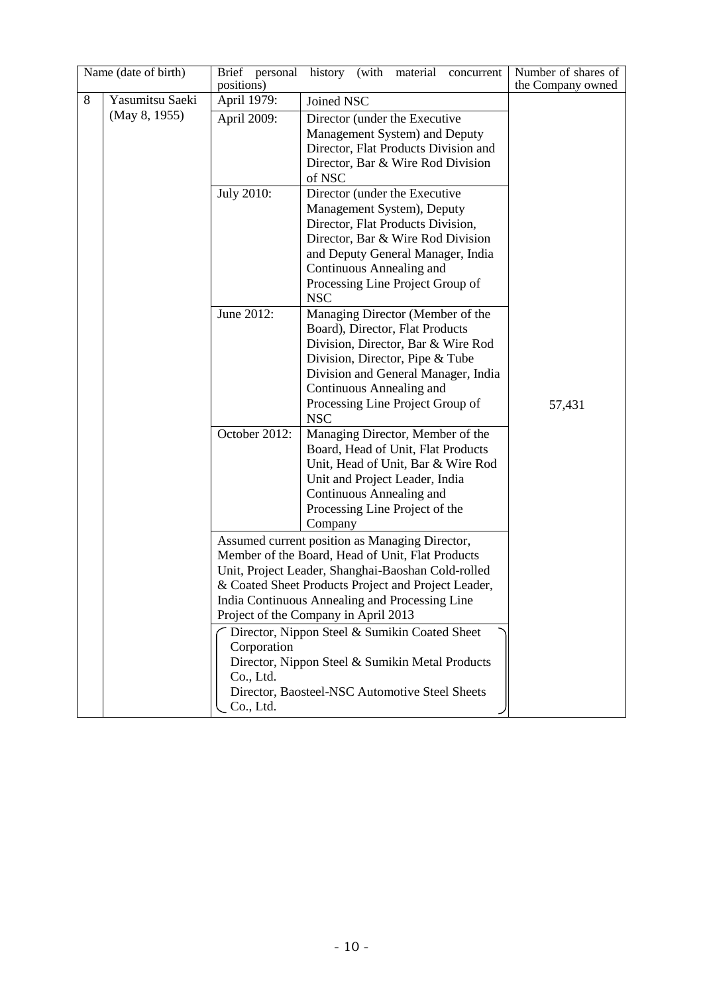|   | Name (date of birth) | Brief personal<br>positions)          | history (with material<br>concurrent                                                                                                                                                                                                                                                                                                                                                                                                                            | Number of shares of<br>the Company owned |
|---|----------------------|---------------------------------------|-----------------------------------------------------------------------------------------------------------------------------------------------------------------------------------------------------------------------------------------------------------------------------------------------------------------------------------------------------------------------------------------------------------------------------------------------------------------|------------------------------------------|
| 8 | Yasumitsu Saeki      | April 1979:                           | Joined NSC                                                                                                                                                                                                                                                                                                                                                                                                                                                      |                                          |
|   | (May 8, 1955)        | April 2009:                           | Director (under the Executive<br>Management System) and Deputy<br>Director, Flat Products Division and<br>Director, Bar & Wire Rod Division<br>of NSC                                                                                                                                                                                                                                                                                                           |                                          |
|   |                      | <b>July 2010:</b>                     | Director (under the Executive<br>Management System), Deputy<br>Director, Flat Products Division,<br>Director, Bar & Wire Rod Division<br>and Deputy General Manager, India<br>Continuous Annealing and<br>Processing Line Project Group of<br><b>NSC</b>                                                                                                                                                                                                        |                                          |
|   |                      | June 2012:                            | Managing Director (Member of the<br>Board), Director, Flat Products<br>Division, Director, Bar & Wire Rod<br>Division, Director, Pipe & Tube<br>Division and General Manager, India<br>Continuous Annealing and<br>Processing Line Project Group of<br><b>NSC</b>                                                                                                                                                                                               | 57,431                                   |
|   |                      | October 2012:                         | Managing Director, Member of the<br>Board, Head of Unit, Flat Products<br>Unit, Head of Unit, Bar & Wire Rod<br>Unit and Project Leader, India<br>Continuous Annealing and<br>Processing Line Project of the<br>Company                                                                                                                                                                                                                                         |                                          |
|   |                      | Corporation<br>Co., Ltd.<br>Co., Ltd. | Assumed current position as Managing Director,<br>Member of the Board, Head of Unit, Flat Products<br>Unit, Project Leader, Shanghai-Baoshan Cold-rolled<br>& Coated Sheet Products Project and Project Leader,<br>India Continuous Annealing and Processing Line<br>Project of the Company in April 2013<br>Director, Nippon Steel & Sumikin Coated Sheet<br>Director, Nippon Steel & Sumikin Metal Products<br>Director, Baosteel-NSC Automotive Steel Sheets |                                          |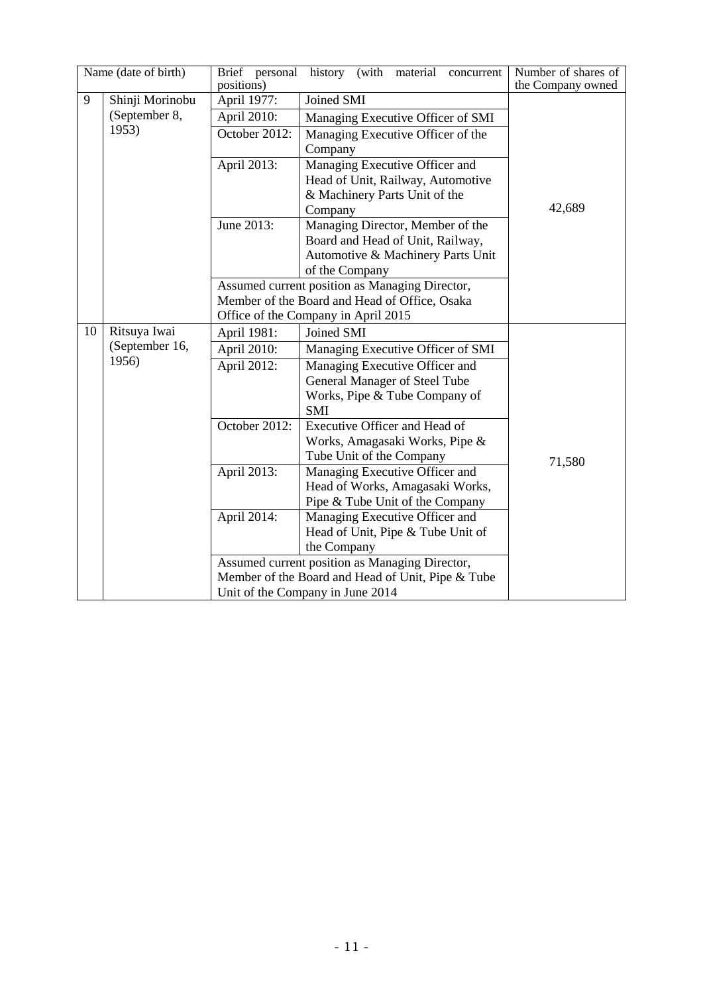|    | Name (date of birth) | Brief personal | history (with material concurrent                 | Number of shares of |
|----|----------------------|----------------|---------------------------------------------------|---------------------|
|    |                      | positions)     |                                                   | the Company owned   |
| 9  | Shinji Morinobu      | April 1977:    | Joined SMI                                        |                     |
|    | (September 8,        | April 2010:    | Managing Executive Officer of SMI                 |                     |
|    | 1953)                | October 2012:  | Managing Executive Officer of the                 |                     |
|    |                      |                | Company                                           |                     |
|    |                      | April 2013:    | Managing Executive Officer and                    |                     |
|    |                      |                | Head of Unit, Railway, Automotive                 |                     |
|    |                      |                | & Machinery Parts Unit of the                     |                     |
|    |                      |                | Company                                           | 42,689              |
|    |                      | June 2013:     | Managing Director, Member of the                  |                     |
|    |                      |                | Board and Head of Unit, Railway,                  |                     |
|    |                      |                | Automotive & Machinery Parts Unit                 |                     |
|    |                      |                | of the Company                                    |                     |
|    |                      |                | Assumed current position as Managing Director,    |                     |
|    |                      |                | Member of the Board and Head of Office, Osaka     |                     |
|    |                      |                | Office of the Company in April 2015               |                     |
| 10 | Ritsuya Iwai         | April 1981:    | Joined SMI                                        |                     |
|    | (September 16,       | April 2010:    | Managing Executive Officer of SMI                 |                     |
|    | 1956)                | April 2012:    | Managing Executive Officer and                    |                     |
|    |                      |                | General Manager of Steel Tube                     |                     |
|    |                      |                | Works, Pipe & Tube Company of                     |                     |
|    |                      |                | <b>SMI</b>                                        |                     |
|    |                      | October 2012:  | Executive Officer and Head of                     |                     |
|    |                      |                | Works, Amagasaki Works, Pipe &                    |                     |
|    |                      |                | Tube Unit of the Company                          | 71,580              |
|    |                      | April 2013:    | Managing Executive Officer and                    |                     |
|    |                      |                | Head of Works, Amagasaki Works,                   |                     |
|    |                      |                | Pipe & Tube Unit of the Company                   |                     |
|    |                      | April 2014:    | Managing Executive Officer and                    |                     |
|    |                      |                | Head of Unit, Pipe & Tube Unit of                 |                     |
|    |                      |                | the Company                                       |                     |
|    |                      |                | Assumed current position as Managing Director,    |                     |
|    |                      |                | Member of the Board and Head of Unit, Pipe & Tube |                     |
|    |                      |                | Unit of the Company in June 2014                  |                     |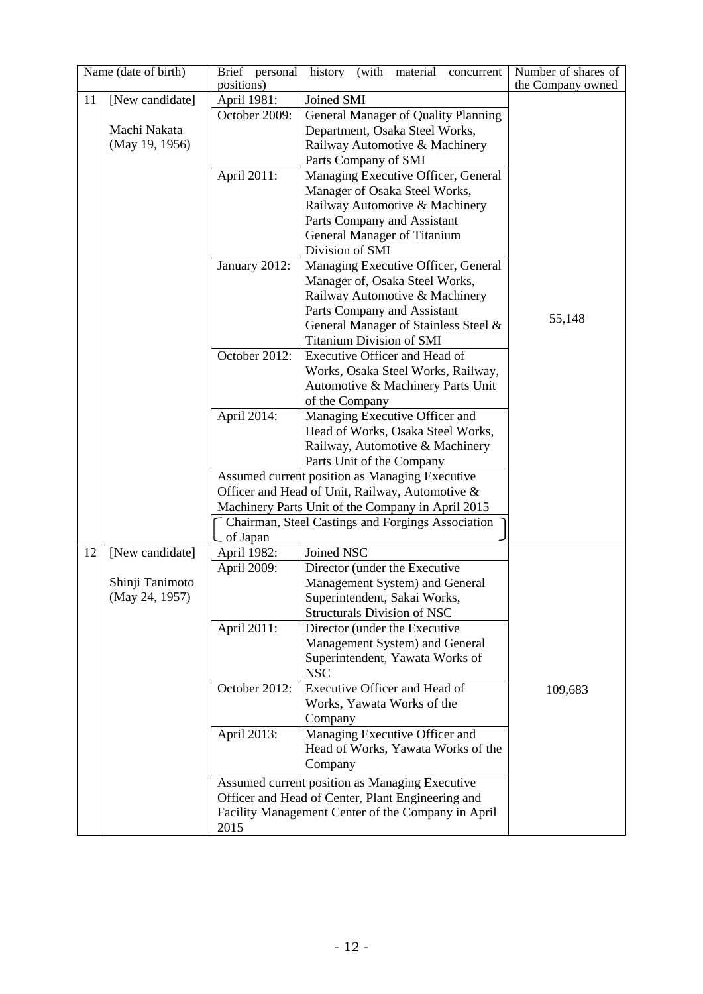|    | Name (date of birth) | Brief personal<br>positions) | history (with material<br>concurrent                                        | Number of shares of<br>the Company owned |
|----|----------------------|------------------------------|-----------------------------------------------------------------------------|------------------------------------------|
| 11 | [New candidate]      | April 1981:                  | Joined SMI                                                                  |                                          |
|    |                      | October 2009:                | General Manager of Quality Planning                                         |                                          |
|    | Machi Nakata         |                              | Department, Osaka Steel Works,                                              |                                          |
|    | (May 19, 1956)       |                              |                                                                             |                                          |
|    |                      |                              | Railway Automotive & Machinery                                              |                                          |
|    |                      |                              | Parts Company of SMI                                                        |                                          |
|    |                      | April 2011:                  | Managing Executive Officer, General                                         |                                          |
|    |                      |                              | Manager of Osaka Steel Works,                                               |                                          |
|    |                      |                              | Railway Automotive & Machinery                                              |                                          |
|    |                      |                              | Parts Company and Assistant                                                 |                                          |
|    |                      |                              | General Manager of Titanium                                                 |                                          |
|    |                      |                              | Division of SMI                                                             |                                          |
|    |                      | January 2012:                | Managing Executive Officer, General                                         |                                          |
|    |                      |                              | Manager of, Osaka Steel Works,                                              |                                          |
|    |                      |                              | Railway Automotive & Machinery                                              |                                          |
|    |                      |                              | Parts Company and Assistant                                                 | 55,148                                   |
|    |                      |                              | General Manager of Stainless Steel &                                        |                                          |
|    |                      |                              | <b>Titanium Division of SMI</b><br>Executive Officer and Head of            |                                          |
|    |                      | October 2012:                |                                                                             |                                          |
|    |                      |                              | Works, Osaka Steel Works, Railway,                                          |                                          |
|    |                      |                              | Automotive & Machinery Parts Unit                                           |                                          |
|    |                      |                              | of the Company                                                              |                                          |
|    |                      | April 2014:                  | Managing Executive Officer and                                              |                                          |
|    |                      |                              | Head of Works, Osaka Steel Works,                                           |                                          |
|    |                      |                              | Railway, Automotive & Machinery                                             |                                          |
|    |                      |                              | Parts Unit of the Company<br>Assumed current position as Managing Executive |                                          |
|    |                      |                              | Officer and Head of Unit, Railway, Automotive &                             |                                          |
|    |                      |                              | Machinery Parts Unit of the Company in April 2015                           |                                          |
|    |                      |                              | Chairman, Steel Castings and Forgings Association                           |                                          |
|    |                      | of Japan                     |                                                                             |                                          |
| 12 | [New candidate]      | April 1982:                  | Joined NSC                                                                  |                                          |
|    |                      | April 2009:                  | Director (under the Executive                                               |                                          |
|    | Shinji Tanimoto      |                              | Management System) and General                                              |                                          |
|    | (May 24, 1957)       |                              | Superintendent, Sakai Works,                                                |                                          |
|    |                      |                              | Structurals Division of NSC                                                 |                                          |
|    |                      | April 2011:                  | Director (under the Executive                                               |                                          |
|    |                      |                              | Management System) and General                                              |                                          |
|    |                      |                              | Superintendent, Yawata Works of                                             |                                          |
|    |                      |                              | <b>NSC</b>                                                                  |                                          |
|    |                      | October 2012:                | Executive Officer and Head of                                               | 109,683                                  |
|    |                      |                              | Works, Yawata Works of the                                                  |                                          |
|    |                      |                              | Company                                                                     |                                          |
|    |                      | April 2013:                  | Managing Executive Officer and                                              |                                          |
|    |                      |                              | Head of Works, Yawata Works of the                                          |                                          |
|    |                      |                              | Company                                                                     |                                          |
|    |                      |                              | Assumed current position as Managing Executive                              |                                          |
|    |                      |                              | Officer and Head of Center, Plant Engineering and                           |                                          |
|    |                      |                              | Facility Management Center of the Company in April                          |                                          |
|    |                      | 2015                         |                                                                             |                                          |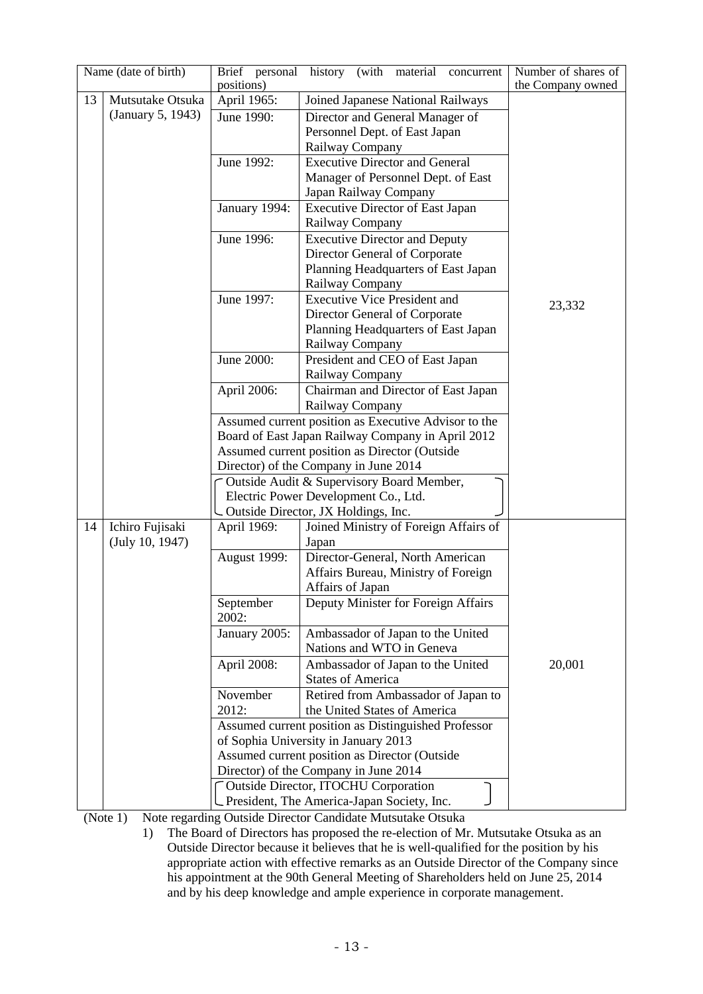|    | Name (date of birth) | Brief personal<br>positions) | history (with material<br>concurrent                    | Number of shares of<br>the Company owned |
|----|----------------------|------------------------------|---------------------------------------------------------|------------------------------------------|
| 13 | Mutsutake Otsuka     | April 1965:                  | Joined Japanese National Railways                       |                                          |
|    | (January 5, 1943)    | June 1990:                   | Director and General Manager of                         |                                          |
|    |                      |                              | Personnel Dept. of East Japan                           |                                          |
|    |                      |                              | Railway Company                                         |                                          |
|    |                      | June 1992:                   | <b>Executive Director and General</b>                   |                                          |
|    |                      |                              | Manager of Personnel Dept. of East                      |                                          |
|    |                      |                              | Japan Railway Company                                   |                                          |
|    |                      | January 1994:                | <b>Executive Director of East Japan</b>                 |                                          |
|    |                      |                              | Railway Company                                         |                                          |
|    |                      | June 1996:                   | <b>Executive Director and Deputy</b>                    |                                          |
|    |                      |                              | Director General of Corporate                           |                                          |
|    |                      |                              | Planning Headquarters of East Japan                     |                                          |
|    |                      |                              | Railway Company                                         |                                          |
|    |                      | June 1997:                   | <b>Executive Vice President and</b>                     |                                          |
|    |                      |                              | Director General of Corporate                           | 23,332                                   |
|    |                      |                              | Planning Headquarters of East Japan                     |                                          |
|    |                      |                              | Railway Company                                         |                                          |
|    |                      | June 2000:                   | President and CEO of East Japan                         |                                          |
|    |                      |                              | Railway Company                                         |                                          |
|    |                      | April 2006:                  | Chairman and Director of East Japan                     |                                          |
|    |                      |                              | Railway Company                                         |                                          |
|    |                      |                              | Assumed current position as Executive Advisor to the    |                                          |
|    |                      |                              | Board of East Japan Railway Company in April 2012       |                                          |
|    |                      |                              | Assumed current position as Director (Outside           |                                          |
|    |                      |                              | Director) of the Company in June 2014                   |                                          |
|    |                      |                              | Outside Audit & Supervisory Board Member,               |                                          |
|    |                      |                              | Electric Power Development Co., Ltd.                    |                                          |
|    |                      |                              | Outside Director, JX Holdings, Inc.                     |                                          |
| 14 | Ichiro Fujisaki      | April 1969:                  | Joined Ministry of Foreign Affairs of                   |                                          |
|    | (July 10, 1947)      |                              | Japan                                                   |                                          |
|    |                      | August 1999:                 | Director-General, North American                        |                                          |
|    |                      |                              | Affairs Bureau, Ministry of Foreign                     |                                          |
|    |                      |                              | Affairs of Japan<br>Deputy Minister for Foreign Affairs |                                          |
|    |                      | September<br>2002:           |                                                         |                                          |
|    |                      | January 2005:                | Ambassador of Japan to the United                       |                                          |
|    |                      |                              | Nations and WTO in Geneva                               |                                          |
|    |                      | April 2008:                  | Ambassador of Japan to the United                       | 20,001                                   |
|    |                      |                              | <b>States of America</b>                                |                                          |
|    |                      | November                     | Retired from Ambassador of Japan to                     |                                          |
|    |                      | 2012:                        | the United States of America                            |                                          |
|    |                      |                              | Assumed current position as Distinguished Professor     |                                          |
|    |                      |                              | of Sophia University in January 2013                    |                                          |
|    |                      |                              | Assumed current position as Director (Outside           |                                          |
|    |                      |                              | Director) of the Company in June 2014                   |                                          |
|    |                      |                              | <b>Outside Director, ITOCHU Corporation</b>             |                                          |
|    |                      |                              | President, The America-Japan Society, Inc.              |                                          |

(Note 1) Note regarding Outside Director Candidate Mutsutake Otsuka

1) The Board of Directors has proposed the re-election of Mr. Mutsutake Otsuka as an Outside Director because it believes that he is well-qualified for the position by his appropriate action with effective remarks as an Outside Director of the Company since his appointment at the 90th General Meeting of Shareholders held on June 25, 2014 and by his deep knowledge and ample experience in corporate management.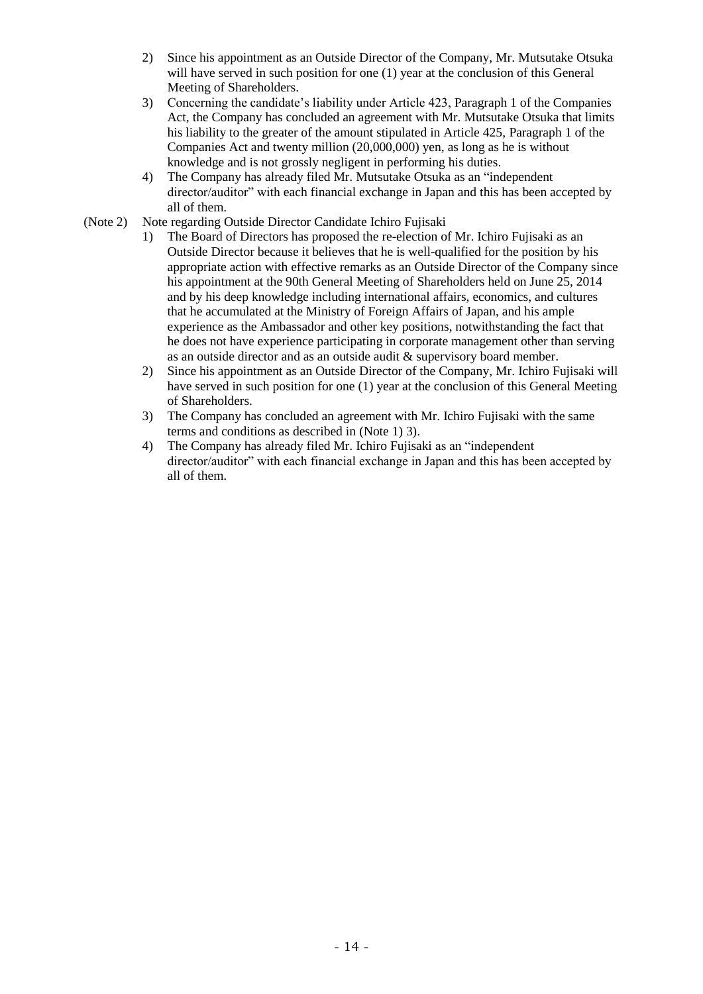- 2) Since his appointment as an Outside Director of the Company, Mr. Mutsutake Otsuka will have served in such position for one (1) year at the conclusion of this General Meeting of Shareholders.
- 3) Concerning the candidate's liability under Article 423, Paragraph 1 of the Companies Act, the Company has concluded an agreement with Mr. Mutsutake Otsuka that limits his liability to the greater of the amount stipulated in Article 425, Paragraph 1 of the Companies Act and twenty million (20,000,000) yen, as long as he is without knowledge and is not grossly negligent in performing his duties.
- 4) The Company has already filed Mr. Mutsutake Otsuka as an "independent director/auditor" with each financial exchange in Japan and this has been accepted by all of them.
- (Note 2) Note regarding Outside Director Candidate Ichiro Fujisaki
	- 1) The Board of Directors has proposed the re-election of Mr. Ichiro Fujisaki as an Outside Director because it believes that he is well-qualified for the position by his appropriate action with effective remarks as an Outside Director of the Company since his appointment at the 90th General Meeting of Shareholders held on June 25, 2014 and by his deep knowledge including international affairs, economics, and cultures that he accumulated at the Ministry of Foreign Affairs of Japan, and his ample experience as the Ambassador and other key positions, notwithstanding the fact that he does not have experience participating in corporate management other than serving as an outside director and as an outside audit & supervisory board member.
	- 2) Since his appointment as an Outside Director of the Company, Mr. Ichiro Fujisaki will have served in such position for one (1) year at the conclusion of this General Meeting of Shareholders.
	- 3) The Company has concluded an agreement with Mr. Ichiro Fujisaki with the same terms and conditions as described in (Note 1) 3).
	- 4) The Company has already filed Mr. Ichiro Fujisaki as an "independent director/auditor" with each financial exchange in Japan and this has been accepted by all of them.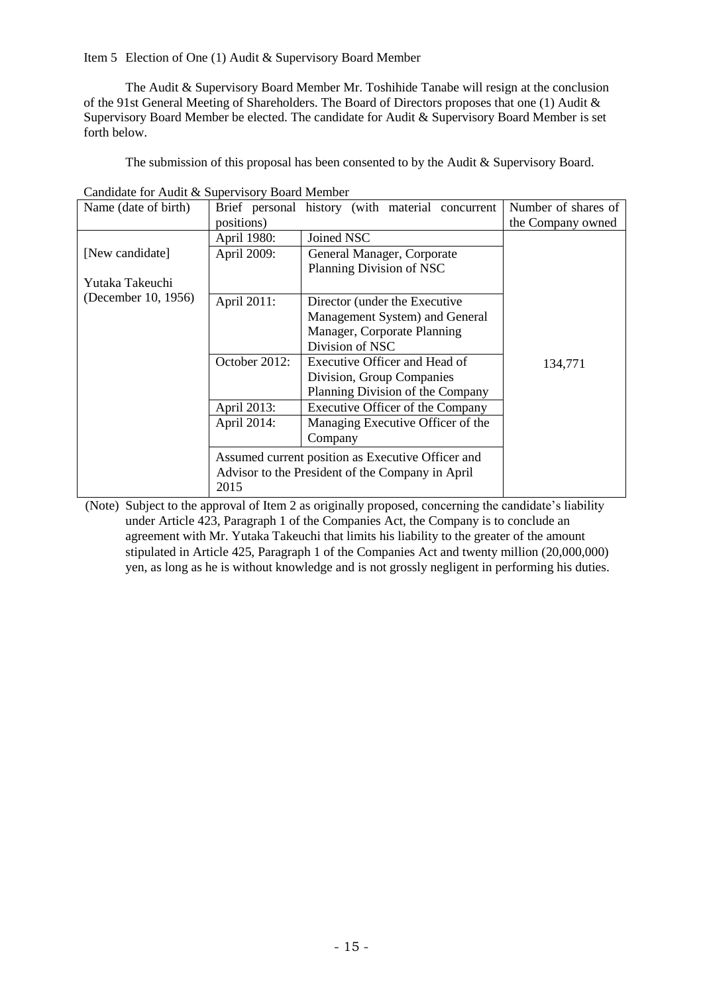Item 5 Election of One (1) Audit & Supervisory Board Member

The Audit & Supervisory Board Member Mr. Toshihide Tanabe will resign at the conclusion of the 91st General Meeting of Shareholders. The Board of Directors proposes that one (1) Audit & Supervisory Board Member be elected. The candidate for Audit & Supervisory Board Member is set forth below.

The submission of this proposal has been consented to by the Audit & Supervisory Board.

| Name (date of birth) |                                                                                                               | Brief personal history (with material concurrent | Number of shares of |
|----------------------|---------------------------------------------------------------------------------------------------------------|--------------------------------------------------|---------------------|
|                      | positions)                                                                                                    |                                                  | the Company owned   |
|                      | April 1980:                                                                                                   | Joined NSC                                       |                     |
| [New candidate]      | April 2009:                                                                                                   | General Manager, Corporate                       |                     |
|                      |                                                                                                               | Planning Division of NSC                         |                     |
| Yutaka Takeuchi      |                                                                                                               |                                                  |                     |
| (December 10, 1956)  | April 2011:                                                                                                   | Director (under the Executive                    |                     |
|                      |                                                                                                               | Management System) and General                   |                     |
|                      |                                                                                                               | Manager, Corporate Planning                      |                     |
|                      |                                                                                                               | Division of NSC                                  |                     |
|                      | October 2012:                                                                                                 | Executive Officer and Head of                    | 134,771             |
|                      |                                                                                                               | Division, Group Companies                        |                     |
|                      |                                                                                                               | Planning Division of the Company                 |                     |
|                      | April 2013:                                                                                                   | Executive Officer of the Company                 |                     |
|                      | April 2014:                                                                                                   | Managing Executive Officer of the                |                     |
|                      |                                                                                                               | Company                                          |                     |
|                      | Assumed current position as Executive Officer and<br>Advisor to the President of the Company in April<br>2015 |                                                  |                     |

Candidate for Audit & Supervisory Board Member

(Note) Subject to the approval of Item 2 as originally proposed, concerning the candidate's liability under Article 423, Paragraph 1 of the Companies Act, the Company is to conclude an agreement with Mr. Yutaka Takeuchi that limits his liability to the greater of the amount stipulated in Article 425, Paragraph 1 of the Companies Act and twenty million (20,000,000) yen, as long as he is without knowledge and is not grossly negligent in performing his duties.